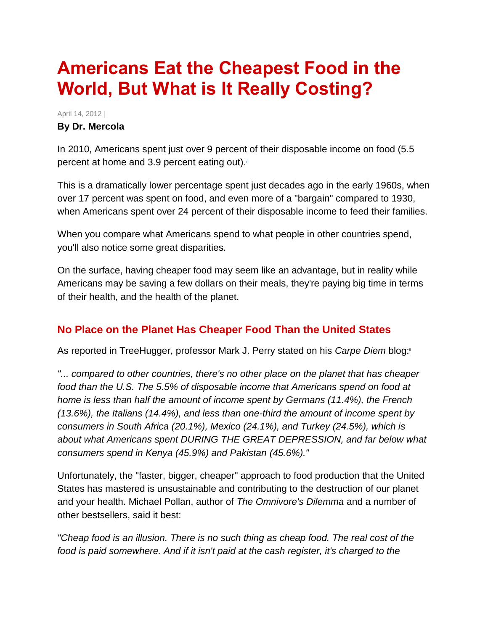# **Americans Eat the Cheapest Food in the World, But What is It Really Costing?**

April 14, 2012 | **By Dr. Mercola**

In 2010, Americans spent just over 9 percent of their disposable income on food (5.5 percent at home and 3[.](http://articles.mercola.com/sites/articles/archive/2012/04/14/eat-well-without-spending-more.aspx#_edn1)9 percent eating out).

This is a dramatically lower percentage spent just decades ago in the early 1960s, when over 17 percent was spent on food, and even more of a "bargain" compared to 1930, when Americans spent over 24 percent of their disposable income to feed their families.

When you compare what Americans spend to what people in other countries spend, you'll also notice some great disparities.

On the surface, having cheaper food may seem like an advantage, but in reality while Americans may be saving a few dollars on their meals, they're paying big time in terms of their health, and the health of the planet.

# **No Place on the Planet Has Cheaper Food Than the United States**

As reported in TreeHugger, professor Mark J. Perry stated on his *Carpe Diem* blog[:](http://articles.mercola.com/sites/articles/archive/2012/04/14/eat-well-without-spending-more.aspx#_edn2)ii

*"... compared to other countries, there's no other place on the planet that has cheaper food than the U.S. The 5.5% of disposable income that Americans spend on food at home is less than half the amount of income spent by Germans (11.4%), the French (13.6%), the Italians (14.4%), and less than one-third the amount of income spent by consumers in South Africa (20.1%), Mexico (24.1%), and Turkey (24.5%), which is about what Americans spent DURING THE GREAT DEPRESSION, and far below what consumers spend in Kenya (45.9%) and Pakistan (45.6%)."*

Unfortunately, the "faster, bigger, cheaper" approach to food production that the United States has mastered is unsustainable and contributing to the destruction of our planet and your health. Michael Pollan, author of *The Omnivore's Dilemma* and a number of other bestsellers, said it best:

*"Cheap food is an illusion. There is no such thing as cheap food. The real cost of the food is paid somewhere. And if it isn't paid at the cash register, it's charged to the*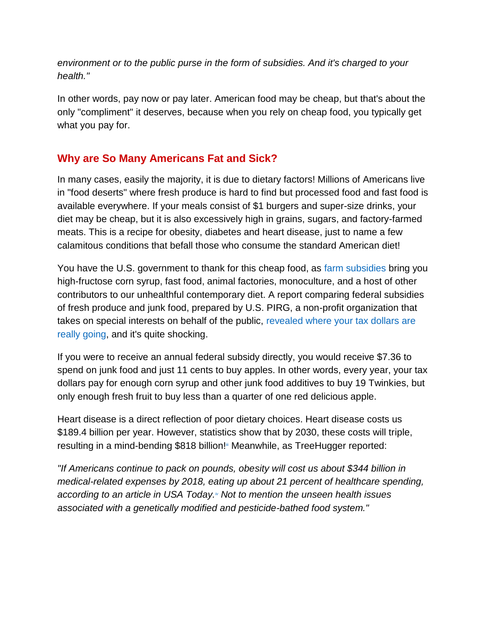*environment or to the public purse in the form of subsidies. And it's charged to your health."*

In other words, pay now or pay later. American food may be cheap, but that's about the only "compliment" it deserves, because when you rely on cheap food, you typically get what you pay for.

# **Why are So Many Americans Fat and Sick?**

In many cases, easily the majority, it is due to dietary factors! Millions of Americans live in "food deserts" where fresh produce is hard to find but processed food and fast food is available everywhere. If your meals consist of \$1 burgers and super-size drinks, your diet may be cheap, but it is also excessively high in grains, sugars, and factory-farmed meats. This is a recipe for obesity, diabetes and heart disease, just to name a few calamitous conditions that befall those who consume the standard American diet!

You have the U.S. government to thank for this cheap food, as [farm subsidies](http://articles.mercola.com/sites/articles/archive/2012/02/27/us-farm-subsidies-absurd.aspx) bring you high-fructose corn syrup, fast food, animal factories, monoculture, and a host of other contributors to our unhealthful contemporary diet. A report comparing federal subsidies of fresh produce and junk food, prepared by U.S. PIRG, a non-profit organization that takes on special interests on behalf of the public, [revealed where your tax dollars are](http://articles.mercola.com/sites/articles/archive/2012/02/04/government-subsidize-junk-food.aspx)  [really going,](http://articles.mercola.com/sites/articles/archive/2012/02/04/government-subsidize-junk-food.aspx) and it's quite shocking.

If you were to receive an annual federal subsidy directly, you would receive \$7.36 to spend on junk food and just 11 cents to buy apples. In other words, every year, your tax dollars pay for enough corn syrup and other junk food additives to buy 19 Twinkies, but only enough fresh fruit to buy less than a quarter of one red delicious apple.

Heart disease is a direct reflection of poor dietary choices. Heart disease costs us \$189.4 billion per year. However, statistics show that by 2030, these costs will triple, resulting in a mind-bending \$818 billion[!](http://articles.mercola.com/sites/articles/archive/2012/04/14/eat-well-without-spending-more.aspx#_edn3)" Meanwhile, as TreeHugger reported:

*"If Americans continue to pack on pounds, obesity will cost us about \$344 billion in medical-related expenses by 2018, eating up about 21 percent of healthcare spending, according to an article in USA Today[.](http://articles.mercola.com/sites/articles/archive/2012/04/14/eat-well-without-spending-more.aspx#_edn4)iv Not to mention the unseen health issues associated with a genetically modified and pesticide-bathed food system."*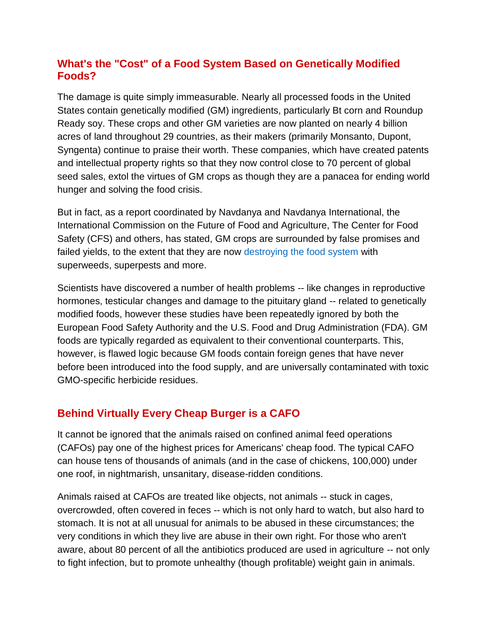# **What's the "Cost" of a Food System Based on Genetically Modified Foods?**

The damage is quite simply immeasurable. Nearly all processed foods in the United States contain genetically modified (GM) ingredients, particularly Bt corn and Roundup Ready soy. These crops and other GM varieties are now planted on nearly 4 billion acres of land throughout 29 countries, as their makers (primarily Monsanto, Dupont, Syngenta) continue to praise their worth. These companies, which have created patents and intellectual property rights so that they now control close to 70 percent of global seed sales, extol the virtues of GM crops as though they are a panacea for ending world hunger and solving the food crisis.

But in fact, as a report coordinated by Navdanya and Navdanya International, the International Commission on the Future of Food and Agriculture, The Center for Food Safety (CFS) and others, has stated, GM crops are surrounded by false promises and failed yields, to the extent that they are now [destroying the food system](http://articles.mercola.com/sites/articles/archive/2011/12/13/gmo-crops-destroying-food-system.aspx) with superweeds, superpests and more.

Scientists have discovered a number of health problems -- like changes in reproductive hormones, testicular changes and damage to the pituitary gland -- related to genetically modified foods, however these studies have been repeatedly ignored by both the European Food Safety Authority and the U.S. Food and Drug Administration (FDA). GM foods are typically regarded as equivalent to their conventional counterparts. This, however, is flawed logic because GM foods contain foreign genes that have never before been introduced into the food supply, and are universally contaminated with toxic GMO-specific herbicide residues.

# **Behind Virtually Every Cheap Burger is a CAFO**

It cannot be ignored that the animals raised on confined animal feed operations (CAFOs) pay one of the highest prices for Americans' cheap food. The typical CAFO can house tens of thousands of animals (and in the case of chickens, 100,000) under one roof, in nightmarish, unsanitary, disease-ridden conditions.

Animals raised at CAFOs are treated like objects, not animals -- stuck in cages, overcrowded, often covered in feces -- which is not only hard to watch, but also hard to stomach. It is not at all unusual for animals to be abused in these circumstances; the very conditions in which they live are abuse in their own right. For those who aren't aware, about 80 percent of all the antibiotics produced are used in agriculture -- not only to fight infection, but to promote unhealthy (though profitable) weight gain in animals.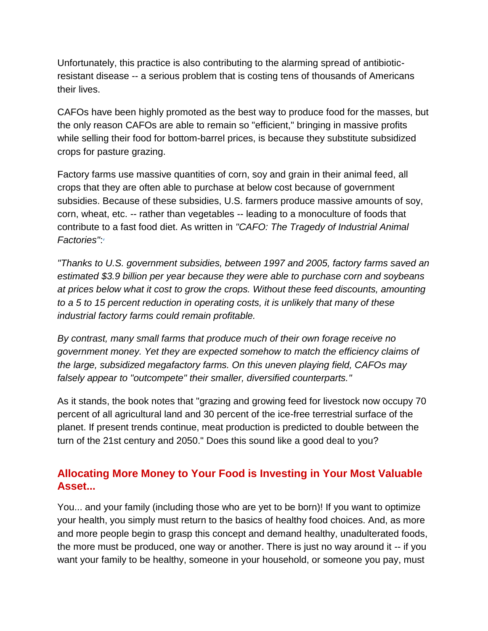Unfortunately, this practice is also contributing to the alarming spread of antibioticresistant disease -- a serious problem that is costing tens of thousands of Americans their lives.

CAFOs have been highly promoted as the best way to produce food for the masses, but the only reason CAFOs are able to remain so "efficient," bringing in massive profits while selling their food for bottom-barrel prices, is because they substitute subsidized crops for pasture grazing.

Factory farms use massive quantities of corn, soy and grain in their animal feed, all crops that they are often able to purchase at below cost because of government subsidies. Because of these subsidies, U.S. farmers produce massive amounts of soy, corn, wheat, etc. -- rather than vegetables -- leading to a monoculture of foods that contribute to a fast food diet. As written in *"CAFO: The Tragedy of Industrial Animal Factories"*[:](http://articles.mercola.com/sites/articles/archive/2012/04/14/eat-well-without-spending-more.aspx#_edn5) v

*"Thanks to U.S. government subsidies, between 1997 and 2005, factory farms saved an estimated \$3.9 billion per year because they were able to purchase corn and soybeans at prices below what it cost to grow the crops. Without these feed discounts, amounting to a 5 to 15 percent reduction in operating costs, it is unlikely that many of these industrial factory farms could remain profitable.*

*By contrast, many small farms that produce much of their own forage receive no government money. Yet they are expected somehow to match the efficiency claims of the large, subsidized megafactory farms. On this uneven playing field, CAFOs may falsely appear to "outcompete" their smaller, diversified counterparts."*

As it stands, the book notes that "grazing and growing feed for livestock now occupy 70 percent of all agricultural land and 30 percent of the ice-free terrestrial surface of the planet. If present trends continue, meat production is predicted to double between the turn of the 21st century and 2050." Does this sound like a good deal to you?

# **Allocating More Money to Your Food is Investing in Your Most Valuable Asset...**

You... and your family (including those who are yet to be born)! If you want to optimize your health, you simply must return to the basics of healthy food choices. And, as more and more people begin to grasp this concept and demand healthy, unadulterated foods, the more must be produced, one way or another. There is just no way around it -- if you want your family to be healthy, someone in your household, or someone you pay, must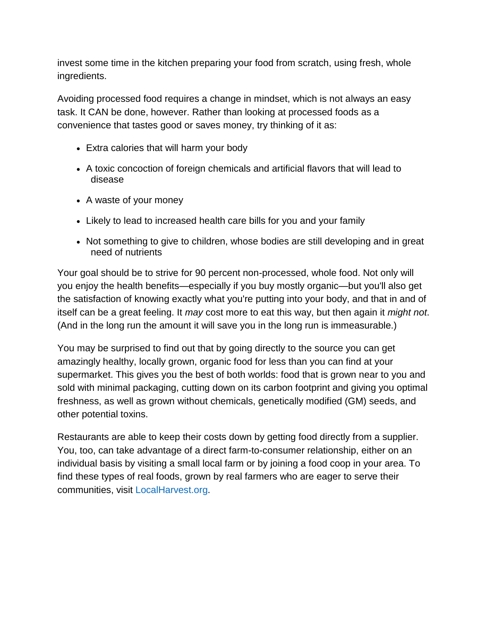invest some time in the kitchen preparing your food from scratch, using fresh, whole ingredients.

Avoiding processed food requires a change in mindset, which is not always an easy task. It CAN be done, however. Rather than looking at processed foods as a convenience that tastes good or saves money, try thinking of it as:

- Extra calories that will harm your body
- A toxic concoction of foreign chemicals and artificial flavors that will lead to disease
- A waste of your money
- Likely to lead to increased health care bills for you and your family
- Not something to give to children, whose bodies are still developing and in great need of nutrients

Your goal should be to strive for 90 percent non-processed, whole food. Not only will you enjoy the health benefits—especially if you buy mostly organic—but you'll also get the satisfaction of knowing exactly what you're putting into your body, and that in and of itself can be a great feeling. It *may* cost more to eat this way, but then again it *might not*. (And in the long run the amount it will save you in the long run is immeasurable.)

You may be surprised to find out that by going directly to the source you can get amazingly healthy, locally grown, organic food for less than you can find at your supermarket. This gives you the best of both worlds: food that is grown near to you and sold with minimal packaging, cutting down on its carbon footprint and giving you optimal freshness, as well as grown without chemicals, genetically modified (GM) seeds, and other potential toxins.

Restaurants are able to keep their costs down by getting food directly from a supplier. You, too, can take advantage of a direct farm-to-consumer relationship, either on an individual basis by visiting a small local farm or by joining a food coop in your area. To find these types of real foods, grown by real farmers who are eager to serve their communities, visit [LocalHarvest.org.](http://www.localharvest.org/)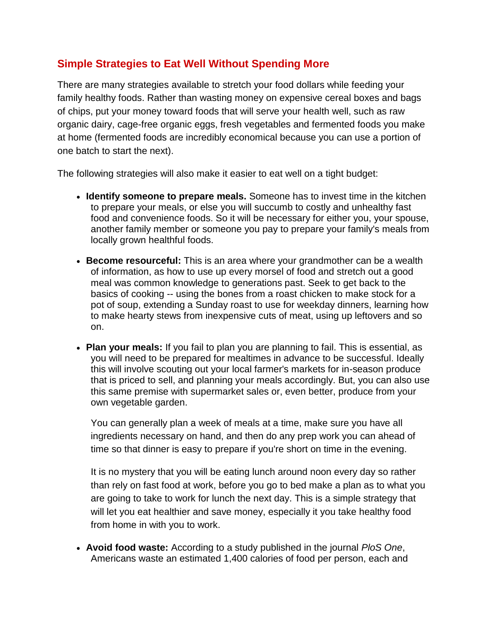### **Simple Strategies to Eat Well Without Spending More**

There are many strategies available to stretch your food dollars while feeding your family healthy foods. Rather than wasting money on expensive cereal boxes and bags of chips, put your money toward foods that will serve your health well, such as raw organic dairy, cage-free organic eggs, fresh vegetables and fermented foods you make at home (fermented foods are incredibly economical because you can use a portion of one batch to start the next).

The following strategies will also make it easier to eat well on a tight budget:

- **Identify someone to prepare meals.** Someone has to invest time in the kitchen to prepare your meals, or else you will succumb to costly and unhealthy fast food and convenience foods. So it will be necessary for either you, your spouse, another family member or someone you pay to prepare your family's meals from locally grown healthful foods.
- **Become resourceful:** This is an area where your grandmother can be a wealth of information, as how to use up every morsel of food and stretch out a good meal was common knowledge to generations past. Seek to get back to the basics of cooking -- using the bones from a roast chicken to make stock for a pot of soup, extending a Sunday roast to use for weekday dinners, learning how to make hearty stews from inexpensive cuts of meat, using up leftovers and so on.
- **Plan your meals:** If you fail to plan you are planning to fail. This is essential, as you will need to be prepared for mealtimes in advance to be successful. Ideally this will involve scouting out your local farmer's markets for in-season produce that is priced to sell, and planning your meals accordingly. But, you can also use this same premise with supermarket sales or, even better, produce from your own vegetable garden.

You can generally plan a week of meals at a time, make sure you have all ingredients necessary on hand, and then do any prep work you can ahead of time so that dinner is easy to prepare if you're short on time in the evening.

It is no mystery that you will be eating lunch around noon every day so rather than rely on fast food at work, before you go to bed make a plan as to what you are going to take to work for lunch the next day. This is a simple strategy that will let you eat healthier and save money, especially it you take healthy food from home in with you to work.

 **Avoid food waste:** According to a study published in the journal *PloS One*, Americans waste an estimated 1,400 calories of food per person, each and